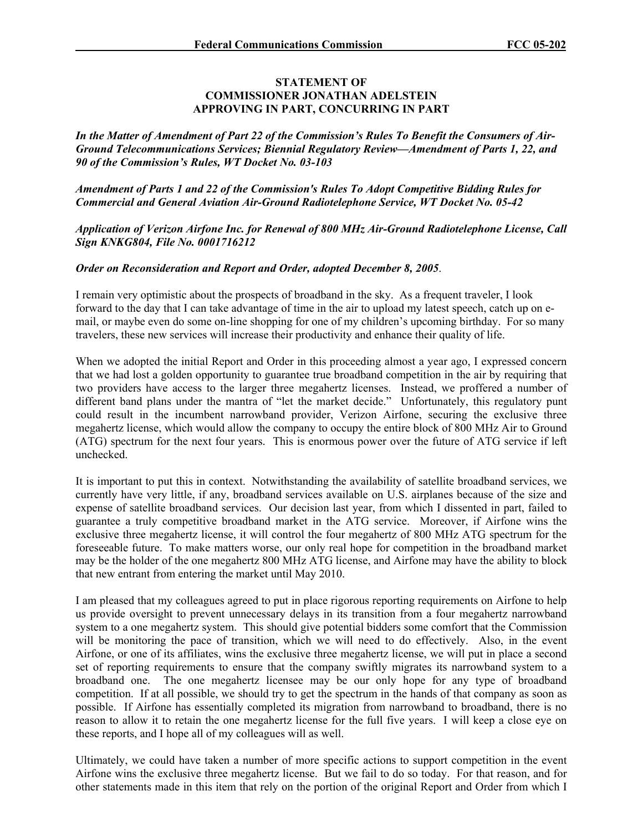## **STATEMENT OF COMMISSIONER JONATHAN ADELSTEIN APPROVING IN PART, CONCURRING IN PART**

*In the Matter of Amendment of Part 22 of the Commission's Rules To Benefit the Consumers of Air-Ground Telecommunications Services; Biennial Regulatory Review—Amendment of Parts 1, 22, and 90 of the Commission's Rules, WT Docket No. 03-103* 

*Amendment of Parts 1 and 22 of the Commission's Rules To Adopt Competitive Bidding Rules for Commercial and General Aviation Air-Ground Radiotelephone Service, WT Docket No. 05-42* 

*Application of Verizon Airfone Inc. for Renewal of 800 MHz Air-Ground Radiotelephone License, Call Sign KNKG804, File No. 0001716212* 

## *Order on Reconsideration and Report and Order, adopted December 8, 2005*.

I remain very optimistic about the prospects of broadband in the sky. As a frequent traveler, I look forward to the day that I can take advantage of time in the air to upload my latest speech, catch up on email, or maybe even do some on-line shopping for one of my children's upcoming birthday. For so many travelers, these new services will increase their productivity and enhance their quality of life.

When we adopted the initial Report and Order in this proceeding almost a year ago, I expressed concern that we had lost a golden opportunity to guarantee true broadband competition in the air by requiring that two providers have access to the larger three megahertz licenses. Instead, we proffered a number of different band plans under the mantra of "let the market decide." Unfortunately, this regulatory punt could result in the incumbent narrowband provider, Verizon Airfone, securing the exclusive three megahertz license, which would allow the company to occupy the entire block of 800 MHz Air to Ground (ATG) spectrum for the next four years. This is enormous power over the future of ATG service if left unchecked.

It is important to put this in context. Notwithstanding the availability of satellite broadband services, we currently have very little, if any, broadband services available on U.S. airplanes because of the size and expense of satellite broadband services. Our decision last year, from which I dissented in part, failed to guarantee a truly competitive broadband market in the ATG service. Moreover, if Airfone wins the exclusive three megahertz license, it will control the four megahertz of 800 MHz ATG spectrum for the foreseeable future. To make matters worse, our only real hope for competition in the broadband market may be the holder of the one megahertz 800 MHz ATG license, and Airfone may have the ability to block that new entrant from entering the market until May 2010.

I am pleased that my colleagues agreed to put in place rigorous reporting requirements on Airfone to help us provide oversight to prevent unnecessary delays in its transition from a four megahertz narrowband system to a one megahertz system. This should give potential bidders some comfort that the Commission will be monitoring the pace of transition, which we will need to do effectively. Also, in the event Airfone, or one of its affiliates, wins the exclusive three megahertz license, we will put in place a second set of reporting requirements to ensure that the company swiftly migrates its narrowband system to a broadband one. The one megahertz licensee may be our only hope for any type of broadband competition. If at all possible, we should try to get the spectrum in the hands of that company as soon as possible. If Airfone has essentially completed its migration from narrowband to broadband, there is no reason to allow it to retain the one megahertz license for the full five years. I will keep a close eye on these reports, and I hope all of my colleagues will as well.

Ultimately, we could have taken a number of more specific actions to support competition in the event Airfone wins the exclusive three megahertz license. But we fail to do so today. For that reason, and for other statements made in this item that rely on the portion of the original Report and Order from which I